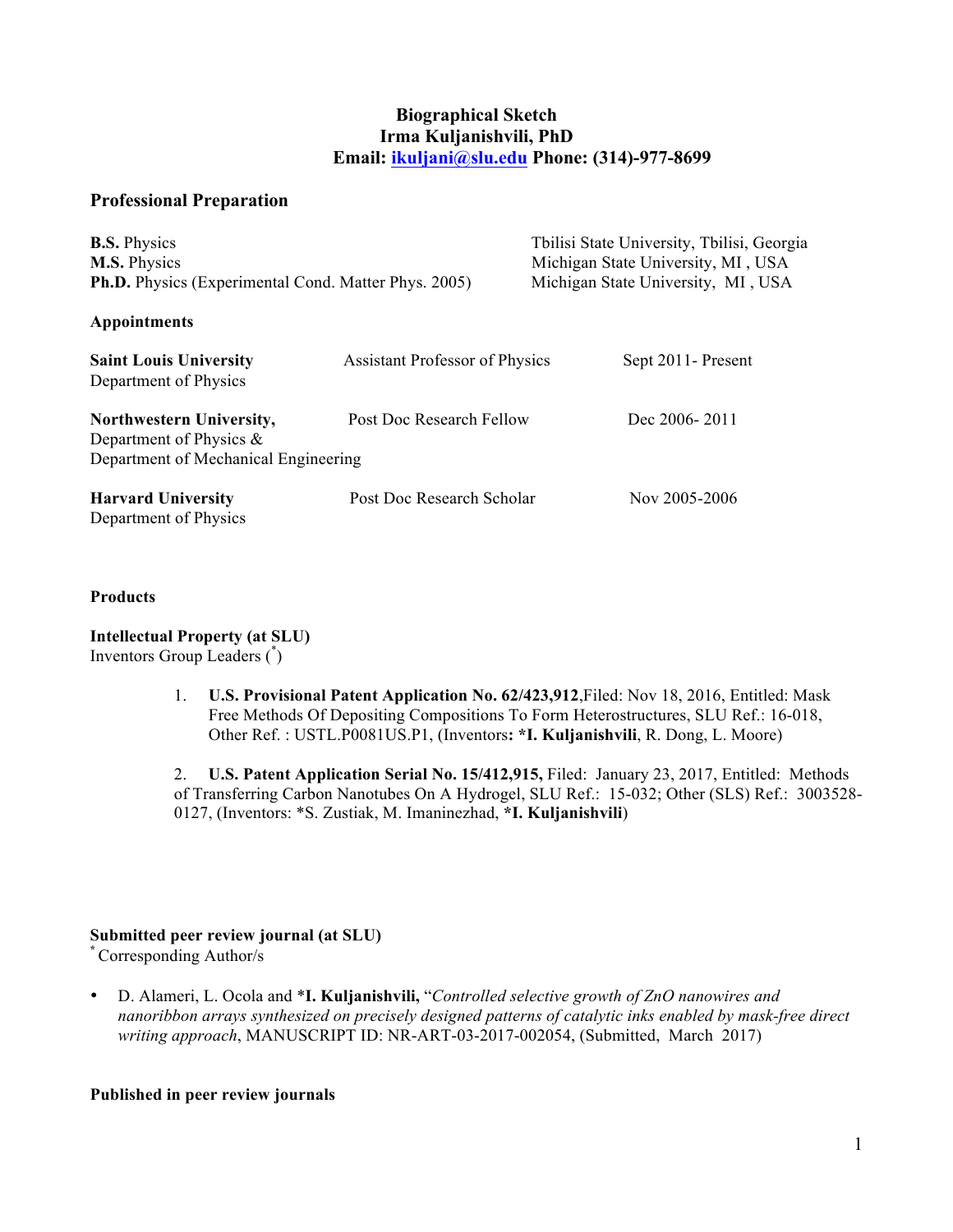## **Biographical Sketch Irma Kuljanishvili, PhD Email: [ikuljani@slu.edu](mailto:ikuljani@slu.edu) Phone: (314)-977-8699**

## **Professional Preparation**

| <b>B.S.</b> Physics<br>M.S. Physics<br><b>Ph.D.</b> Physics (Experimental Cond. Matter Phys. 2005) |                                       | Tbilisi State University, Tbilisi, Georgia<br>Michigan State University, MI, USA<br>Michigan State University, MI, USA |
|----------------------------------------------------------------------------------------------------|---------------------------------------|------------------------------------------------------------------------------------------------------------------------|
| Appointments                                                                                       |                                       |                                                                                                                        |
| <b>Saint Louis University</b><br>Department of Physics                                             | <b>Assistant Professor of Physics</b> | Sept 2011 - Present                                                                                                    |
| Northwestern University,<br>Department of Physics $\&$<br>Department of Mechanical Engineering     | Post Doc Research Fellow              | Dec 2006-2011                                                                                                          |
| <b>Harvard University</b><br>Department of Physics                                                 | Post Doc Research Scholar             | Nov 2005-2006                                                                                                          |

#### **Products**

**Intellectual Property (at SLU)**  Inventors Group Leaders (\* )

> 1. **U.S. Provisional Patent Application No. 62/423,912**,Filed: Nov 18, 2016, Entitled: Mask Free Methods Of Depositing Compositions To Form Heterostructures, SLU Ref.: 16-018, Other Ref. : USTL.P0081US.P1, (Inventors**: \*I. Kuljanishvili**, R. Dong, L. Moore)

2. **U.S. Patent Application Serial No. 15/412,915,** Filed: January 23, 2017, Entitled: Methods of Transferring Carbon Nanotubes On A Hydrogel, SLU Ref.: 15-032; Other (SLS) Ref.: 3003528- 0127, (Inventors: \*S. Zustiak, M. Imaninezhad, **\*I. Kuljanishvili**)

### **Submitted peer review journal (at SLU)**

**\*** Corresponding Author/s

• D. Alameri, L. Ocola and \***I. Kuljanishvili,** "*Controlled selective growth of ZnO nanowires and nanoribbon arrays synthesized on precisely designed patterns of catalytic inks enabled by mask-free direct writing approach*, MANUSCRIPT ID: NR-ART-03-2017-002054, (Submitted, March 2017)

### **Published in peer review journals**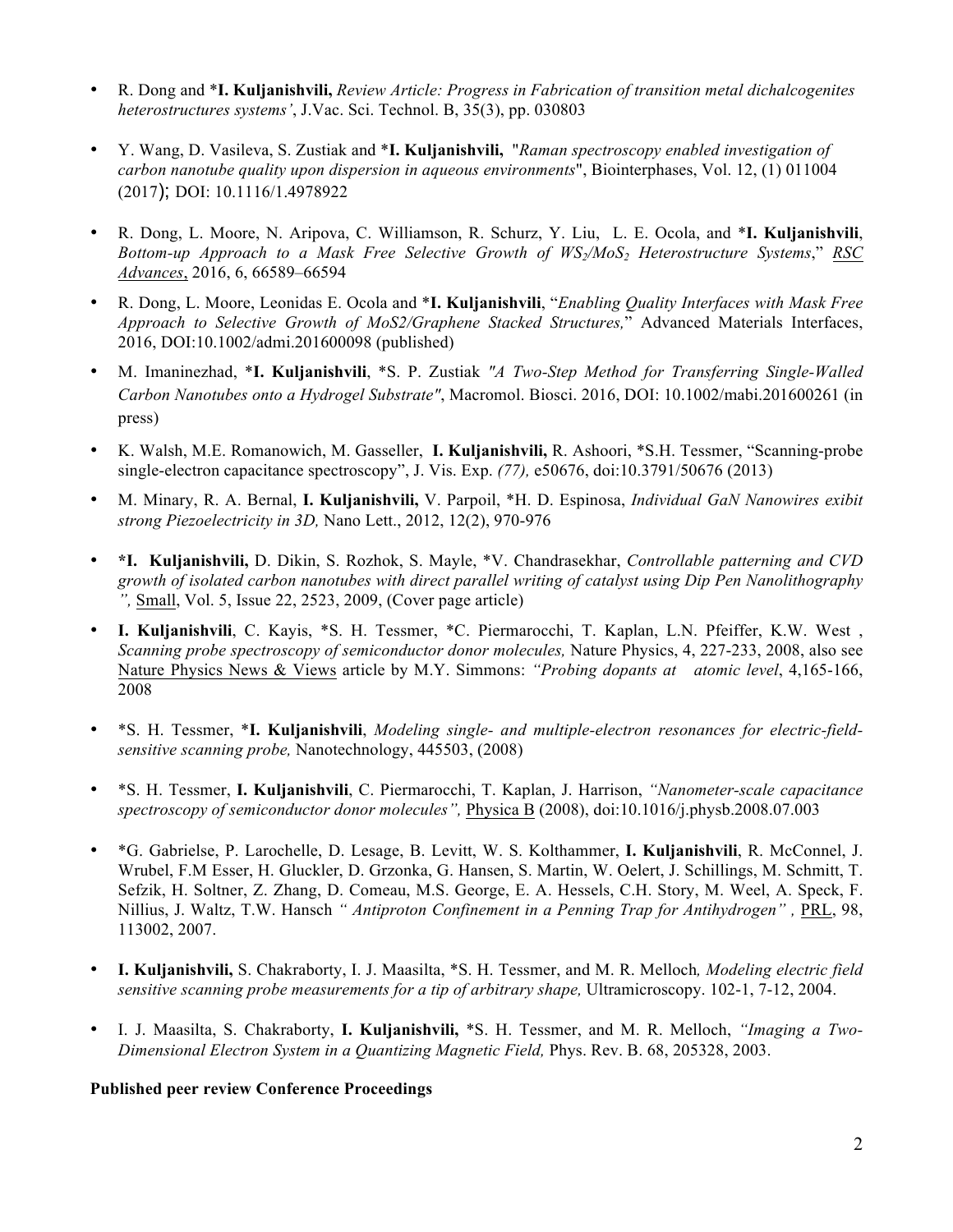- R. Dong and \***I. Kuljanishvili,** *Review Article: Progress in Fabrication of transition metal dichalcogenites heterostructures systems'*, J.Vac. Sci. Technol. B, 35(3), pp. 030803
- Y. Wang, D. Vasileva, S. Zustiak and \***I. Kuljanishvili,** "*Raman spectroscopy enabled investigation of carbon nanotube quality upon dispersion in aqueous environments*", Biointerphases, Vol. 12, (1) 011004 (2017); DOI: 10.1116/1.4978922
- R. Dong, L. Moore, N. Aripova, C. Williamson, R. Schurz, Y. Liu, L. E. Ocola, and \***I. Kuljanishvili**, *Bottom-up Approach to a Mask Free Selective Growth of WS2/MoS2 Heterostructure Systems*," *RSC Advances*, 2016, 6, 66589–66594
- R. Dong, L. Moore, Leonidas E. Ocola and \***I. Kuljanishvili**, "*Enabling Quality Interfaces with Mask Free Approach to Selective Growth of MoS2/Graphene Stacked Structures,*" Advanced Materials Interfaces, 2016, DOI:10.1002/admi.201600098 (published)
- M. Imaninezhad, \***I. Kuljanishvili**, \*S. P. Zustiak *"A Two-Step Method for Transferring Single-Walled Carbon Nanotubes onto a Hydrogel Substrate"*, Macromol. Biosci. 2016, DOI: 10.1002/mabi.201600261 (in press)
- K. Walsh, M.E. Romanowich, M. Gasseller, **I. Kuljanishvili,** R. Ashoori, \*S.H. Tessmer, "Scanning-probe single-electron capacitance spectroscopy", J. Vis. Exp. *(77),* e50676, doi:10.3791/50676 (2013)
- M. Minary, R. A. Bernal, **I. Kuljanishvili,** V. Parpoil, \*H. D. Espinosa, *Individual GaN Nanowires exibit strong Piezoelectricity in 3D,* Nano Lett., 2012, 12(2), 970-976
- **\*I. Kuljanishvili,** D. Dikin, S. Rozhok, S. Mayle, \*V. Chandrasekhar, *Controllable patterning and CVD growth of isolated carbon nanotubes with direct parallel writing of catalyst using Dip Pen Nanolithography ",* Small, Vol. 5, Issue 22, 2523, 2009, (Cover page article)
- **I. Kuljanishvili**, C. Kayis, \*S. H. Tessmer, \*C. Piermarocchi, T. Kaplan, L.N. Pfeiffer, K.W. West , *Scanning probe spectroscopy of semiconductor donor molecules,* Nature Physics, 4, 227-233, 2008, also see Nature Physics News & Views article by M.Y. Simmons: *"Probing dopants at atomic level*, 4,165-166, 2008
- \*S. H. Tessmer, \***I. Kuljanishvili**, *Modeling single- and multiple-electron resonances for electric-fieldsensitive scanning probe,* Nanotechnology, 445503, (2008)
- \*S. H. Tessmer, **I. Kuljanishvili**, C. Piermarocchi, T. Kaplan, J. Harrison, *"Nanometer-scale capacitance spectroscopy of semiconductor donor molecules",* Physica B (2008), doi:10.1016/j.physb.2008.07.003
- \*G. Gabrielse, P. Larochelle, D. Lesage, B. Levitt, W. S. Kolthammer, **I. Kuljanishvili**, R. McConnel, J. Wrubel, F.M Esser, H. Gluckler, D. Grzonka, G. Hansen, S. Martin, W. Oelert, J. Schillings, M. Schmitt, T. Sefzik, H. Soltner, Z. Zhang, D. Comeau, M.S. George, E. A. Hessels, C.H. Story, M. Weel, A. Speck, F. Nillius, J. Waltz, T.W. Hansch *" Antiproton Confinement in a Penning Trap for Antihydrogen" ,* PRL, 98, 113002, 2007.
- **I. Kuljanishvili,** S. Chakraborty, I. J. Maasilta, \*S. H. Tessmer, and M. R. Melloch*, Modeling electric field sensitive scanning probe measurements for a tip of arbitrary shape,* Ultramicroscopy. 102-1, 7-12, 2004.
- I. J. Maasilta, S. Chakraborty, **I. Kuljanishvili,** \*S. H. Tessmer, and M. R. Melloch, *"Imaging a Two-Dimensional Electron System in a Quantizing Magnetic Field,* Phys. Rev. B. 68, 205328, 2003.

### **Published peer review Conference Proceedings**